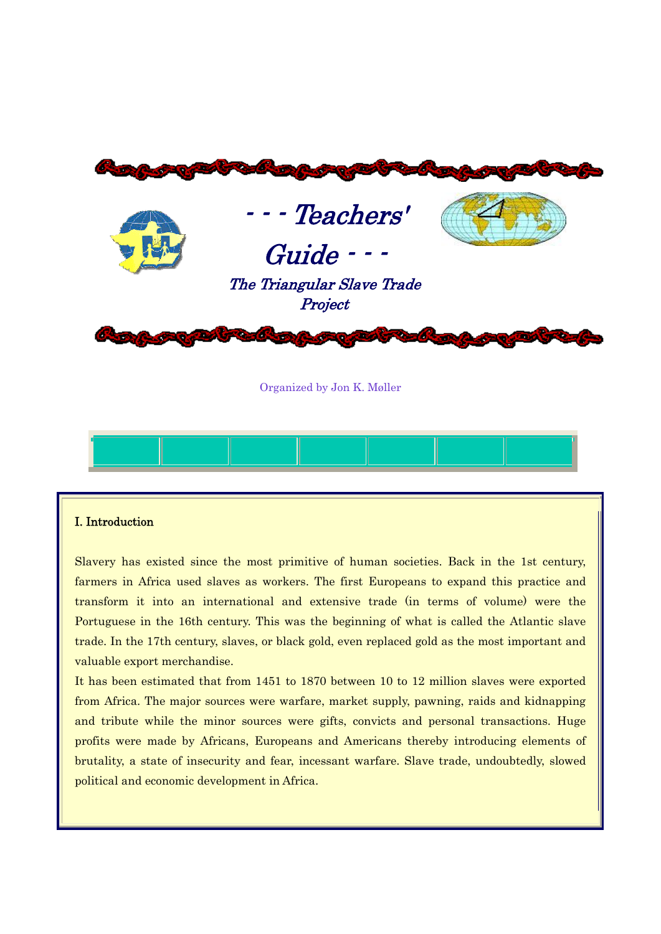

Organized by Jon K. Møller

#### I. Introduction

Slavery has existed since the most primitive of human societies. Back in the 1st century, farmers in Africa used slaves as workers. The first Europeans to expand this practice and transform it into an international and extensive trade (in terms of volume) were the Portuguese in the 16th century. This was the beginning of what is called the Atlantic slave trade. In the 17th century, slaves, or black gold, even replaced gold as the most important and valuable export merchandise.

It has been estimated that from 1451 to 1870 between 10 to 12 million slaves were exported from Africa. The major sources were warfare, market supply, pawning, raids and kidnapping and tribute while the minor sources were gifts, convicts and personal transactions. Huge profits were made by Africans, Europeans and Americans thereby introducing elements of brutality, a state of insecurity and fear, incessant warfare. Slave trade, undoubtedly, slowed political and economic development in Africa.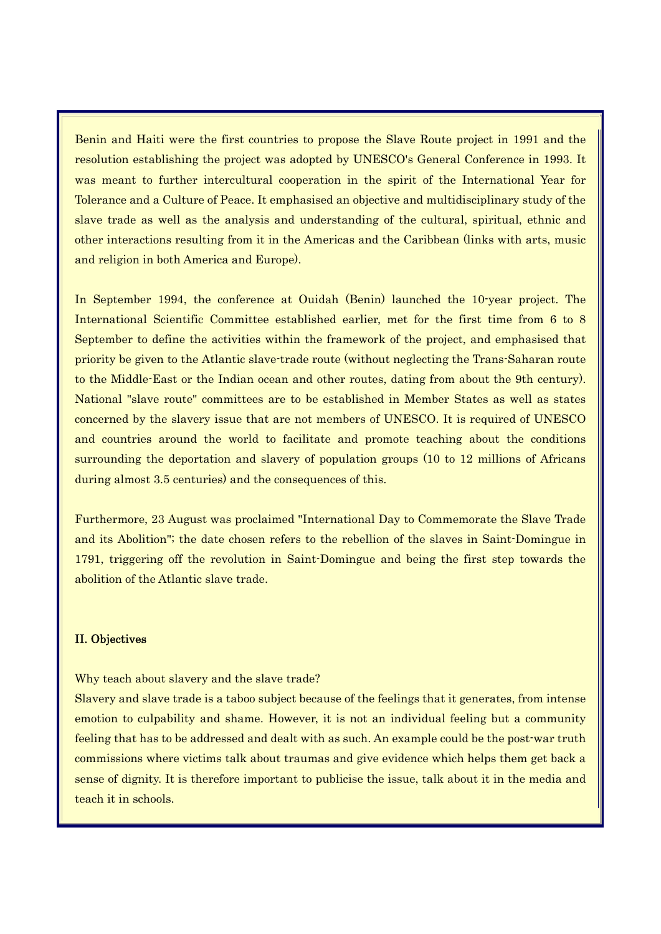Benin and Haiti were the first countries to propose the Slave Route project in 1991 and the resolution establishing the project was adopted by UNESCO's General Conference in 1993. It was meant to further intercultural cooperation in the spirit of the International Year for Tolerance and a Culture of Peace. It emphasised an objective and multidisciplinary study of the slave trade as well as the analysis and understanding of the cultural, spiritual, ethnic and other interactions resulting from it in the Americas and the Caribbean (links with arts, music and religion in both America and Europe).

In September 1994, the conference at Ouidah (Benin) launched the 10-year project. The International Scientific Committee established earlier, met for the first time from 6 to 8 September to define the activities within the framework of the project, and emphasised that priority be given to the Atlantic slave-trade route (without neglecting the Trans-Saharan route to the Middle-East or the Indian ocean and other routes, dating from about the 9th century). National "slave route" committees are to be established in Member States as well as states concerned by the slavery issue that are not members of UNESCO. It is required of UNESCO and countries around the world to facilitate and promote teaching about the conditions surrounding the deportation and slavery of population groups (10 to 12 millions of Africans during almost 3.5 centuries) and the consequences of this.

Furthermore, 23 August was proclaimed "International Day to Commemorate the Slave Trade and its Abolition"; the date chosen refers to the rebellion of the slaves in Saint-Domingue in 1791, triggering off the revolution in Saint-Domingue and being the first step towards the abolition of the Atlantic slave trade.

# II. Objectives

Why teach about slavery and the slave trade?

Slavery and slave trade is a taboo subject because of the feelings that it generates, from intense emotion to culpability and shame. However, it is not an individual feeling but a community feeling that has to be addressed and dealt with as such. An example could be the post-war truth commissions where victims talk about traumas and give evidence which helps them get back a sense of dignity. It is therefore important to publicise the issue, talk about it in the media and teach it in schools.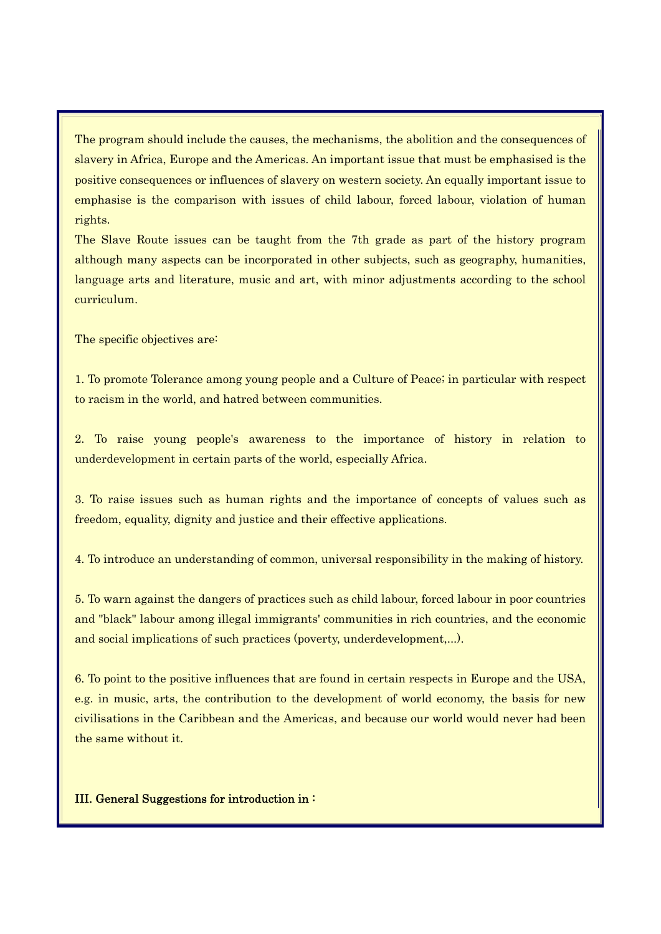The program should include the causes, the mechanisms, the abolition and the consequences of slavery in Africa, Europe and the Americas. An important issue that must be emphasised is the positive consequences or influences of slavery on western society. An equally important issue to emphasise is the comparison with issues of child labour, forced labour, violation of human rights.

The Slave Route issues can be taught from the 7th grade as part of the history program although many aspects can be incorporated in other subjects, such as geography, humanities, language arts and literature, music and art, with minor adjustments according to the school curriculum.

The specific objectives are:

1. To promote Tolerance among young people and a Culture of Peace; in particular with respect to racism in the world, and hatred between communities.

2. To raise young people's awareness to the importance of history in relation to underdevelopment in certain parts of the world, especially Africa.

3. To raise issues such as human rights and the importance of concepts of values such as freedom, equality, dignity and justice and their effective applications.

4. To introduce an understanding of common, universal responsibility in the making of history.

5. To warn against the dangers of practices such as child labour, forced labour in poor countries and "black" labour among illegal immigrants' communities in rich countries, and the economic and social implications of such practices (poverty, underdevelopment,...).

6. To point to the positive influences that are found in certain respects in Europe and the USA, e.g. in music, arts, the contribution to the development of world economy, the basis for new civilisations in the Caribbean and the Americas, and because our world would never had been the same without it.

# III. General Suggestions for introduction in :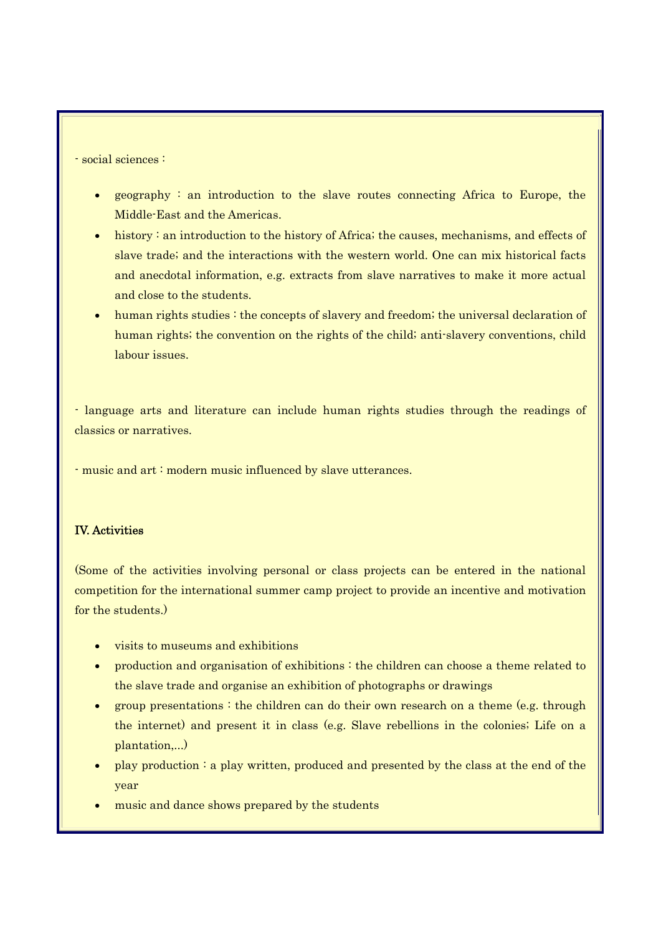- social sciences :

- geography : an introduction to the slave routes connecting Africa to Europe, the Middle-East and the Americas.
- history: an introduction to the history of Africa; the causes, mechanisms, and effects of slave trade; and the interactions with the western world. One can mix historical facts and anecdotal information, e.g. extracts from slave narratives to make it more actual and close to the students.
- human rights studies : the concepts of slavery and freedom; the universal declaration of human rights; the convention on the rights of the child; anti-slavery conventions, child labour issues.

- language arts and literature can include human rights studies through the readings of classics or narratives.

- music and art : modern music influenced by slave utterances.

# IV. Activities

(Some of the activities involving personal or class projects can be entered in the national competition for the international summer camp project to provide an incentive and motivation for the students.)

- visits to museums and exhibitions
- production and organisation of exhibitions : the children can choose a theme related to the slave trade and organise an exhibition of photographs or drawings
- group presentations  $\cdot$  the children can do their own research on a theme (e.g. through the internet) and present it in class (e.g. Slave rebellions in the colonies; Life on a plantation,...)
- play production : a play written, produced and presented by the class at the end of the year
- music and dance shows prepared by the students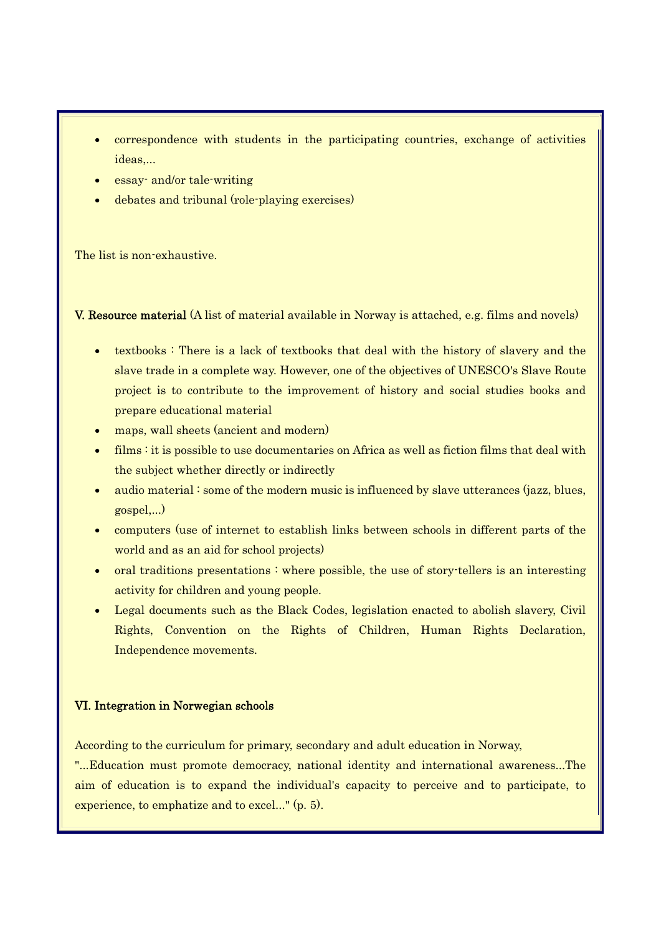- correspondence with students in the participating countries, exchange of activities ideas,...
- essay- and/or tale-writing
- debates and tribunal (role-playing exercises)

The list is non-exhaustive.

V. Resource material (A list of material available in Norway is attached, e.g. films and novels)

- textbooks : There is a lack of textbooks that deal with the history of slavery and the slave trade in a complete way. However, one of the objectives of UNESCO's Slave Route project is to contribute to the improvement of history and social studies books and prepare educational material
- maps, wall sheets (ancient and modern)
- films : it is possible to use documentaries on Africa as well as fiction films that deal with the subject whether directly or indirectly
- audio material : some of the modern music is influenced by slave utterances (jazz, blues, gospel,...)
- computers (use of internet to establish links between schools in different parts of the world and as an aid for school projects)
- oral traditions presentations : where possible, the use of story-tellers is an interesting activity for children and young people.
- Legal documents such as the Black Codes, legislation enacted to abolish slavery, Civil Rights, Convention on the Rights of Children, Human Rights Declaration, Independence movements.

## VI. Integration in Norwegian schools

According to the curriculum for primary, secondary and adult education in Norway,

"...Education must promote democracy, national identity and international awareness...The aim of education is to expand the individual's capacity to perceive and to participate, to experience, to emphatize and to excel..." (p. 5).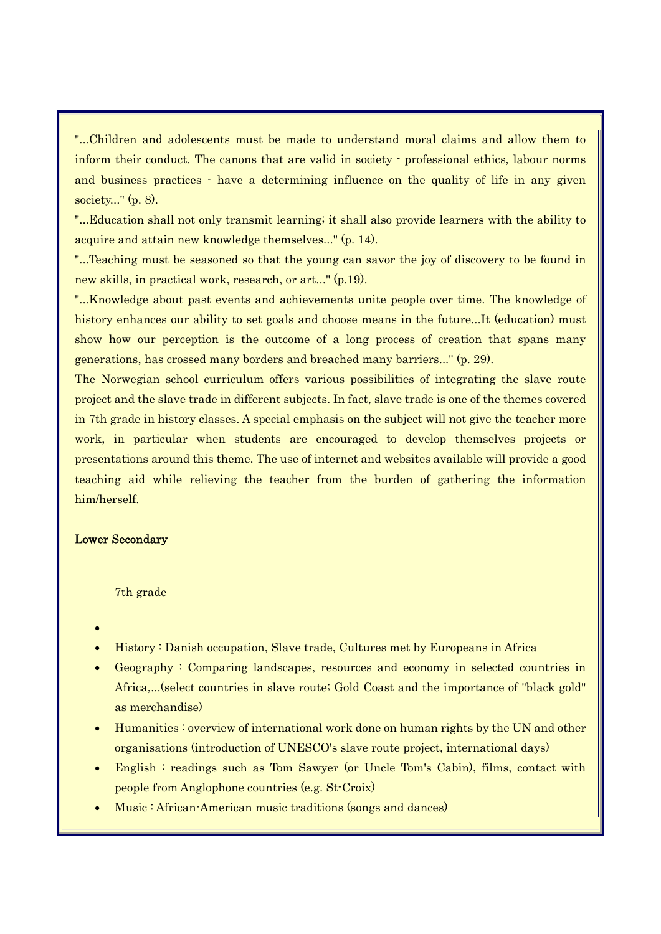"...Children and adolescents must be made to understand moral claims and allow them to inform their conduct. The canons that are valid in society - professional ethics, labour norms and business practices - have a determining influence on the quality of life in any given society..." (p. 8).

"...Education shall not only transmit learning; it shall also provide learners with the ability to acquire and attain new knowledge themselves..." (p. 14).

"...Teaching must be seasoned so that the young can savor the joy of discovery to be found in new skills, in practical work, research, or art..." (p.19).

"...Knowledge about past events and achievements unite people over time. The knowledge of history enhances our ability to set goals and choose means in the future...It (education) must show how our perception is the outcome of a long process of creation that spans many generations, has crossed many borders and breached many barriers..." (p. 29).

The Norwegian school curriculum offers various possibilities of integrating the slave route project and the slave trade in different subjects. In fact, slave trade is one of the themes covered in 7th grade in history classes. A special emphasis on the subject will not give the teacher more work, in particular when students are encouraged to develop themselves projects or presentations around this theme. The use of internet and websites available will provide a good teaching aid while relieving the teacher from the burden of gathering the information him/herself.

# Lower Secondary

#### 7th grade

- •
- History : Danish occupation, Slave trade, Cultures met by Europeans in Africa
- Geography : Comparing landscapes, resources and economy in selected countries in Africa,...(select countries in slave route; Gold Coast and the importance of "black gold" as merchandise)
- Humanities : overview of international work done on human rights by the UN and other organisations (introduction of UNESCO's slave route project, international days)
- English : readings such as Tom Sawyer (or Uncle Tom's Cabin), films, contact with people from Anglophone countries (e.g. St-Croix)
- Music : African-American music traditions (songs and dances)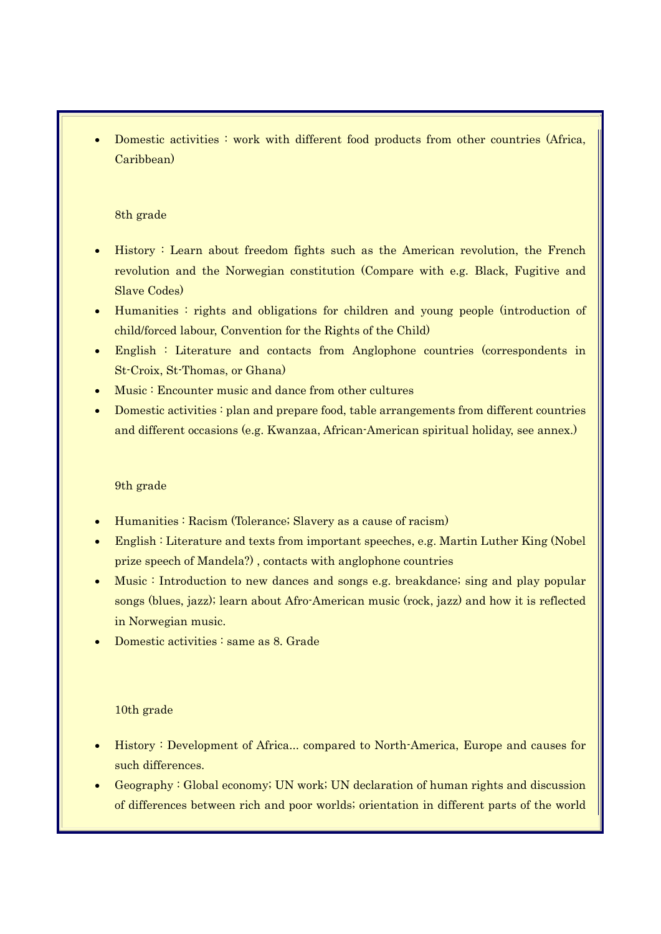• Domestic activities : work with different food products from other countries (Africa, Caribbean)

## 8th grade

- History : Learn about freedom fights such as the American revolution, the French revolution and the Norwegian constitution (Compare with e.g. Black, Fugitive and Slave Codes)
- Humanities : rights and obligations for children and young people (introduction of child/forced labour, Convention for the Rights of the Child)
- English : Literature and contacts from Anglophone countries (correspondents in St-Croix, St-Thomas, or Ghana)
- Music : Encounter music and dance from other cultures
- Domestic activities : plan and prepare food, table arrangements from different countries and different occasions (e.g. Kwanzaa, African-American spiritual holiday, see annex.)

# 9th grade

- Humanities : Racism (Tolerance; Slavery as a cause of racism)
- English : Literature and texts from important speeches, e.g. Martin Luther King (Nobel prize speech of Mandela?) , contacts with anglophone countries
- Music : Introduction to new dances and songs e.g. breakdance; sing and play popular songs (blues, jazz); learn about Afro-American music (rock, jazz) and how it is reflected in Norwegian music.
- Domestic activities : same as 8. Grade

## 10th grade

- History : Development of Africa... compared to North-America, Europe and causes for such differences.
- Geography : Global economy; UN work; UN declaration of human rights and discussion of differences between rich and poor worlds; orientation in different parts of the world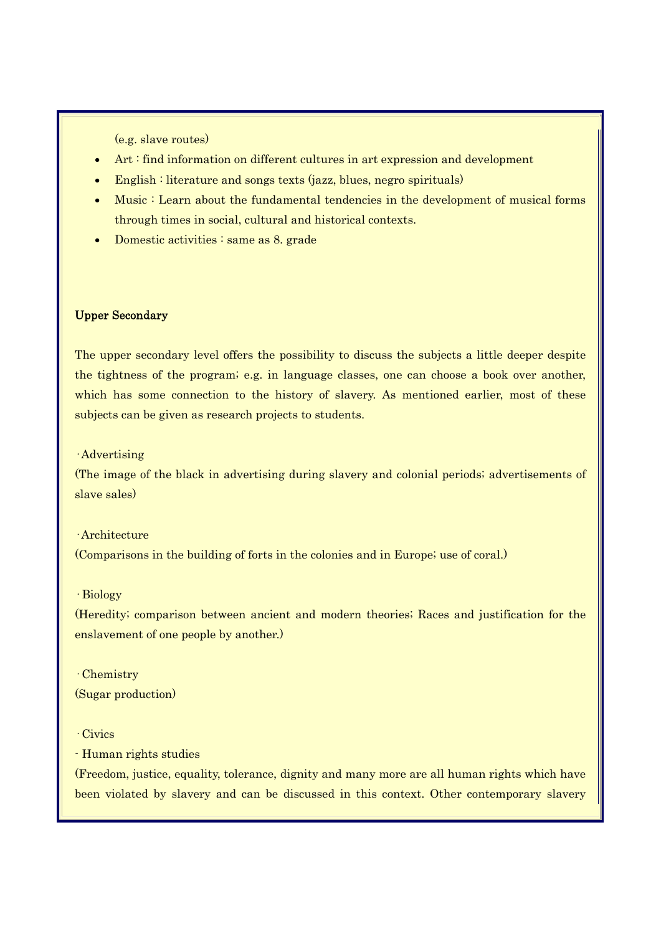(e.g. slave routes)

- Art : find information on different cultures in art expression and development
- English : literature and songs texts (jazz, blues, negro spirituals)
- Music : Learn about the fundamental tendencies in the development of musical forms through times in social, cultural and historical contexts.
- Domestic activities : same as 8. grade

#### Upper Secondary

The upper secondary level offers the possibility to discuss the subjects a little deeper despite the tightness of the program; e.g. in language classes, one can choose a book over another, which has some connection to the history of slavery. As mentioned earlier, most of these subjects can be given as research projects to students.

· Advertising

(The image of the black in advertising during slavery and colonial periods; advertisements of slave sales)

#### · Architecture

(Comparisons in the building of forts in the colonies and in Europe; use of coral.)

#### · Biology

(Heredity; comparison between ancient and modern theories; Races and justification for the enslavement of one people by another.)

· Chemistry (Sugar production)

# · Civics

- Human rights studies

(Freedom, justice, equality, tolerance, dignity and many more are all human rights which have been violated by slavery and can be discussed in this context. Other contemporary slavery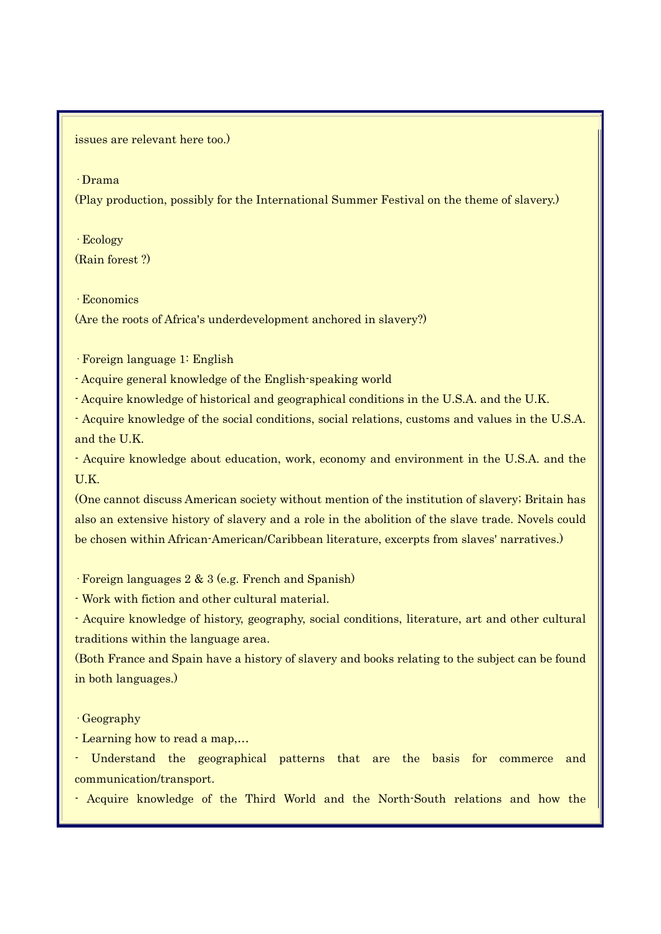issues are relevant here too.)

· Drama

(Play production, possibly for the International Summer Festival on the theme of slavery.)

· Ecology (Rain forest ?)

· Economics

(Are the roots of Africa's underdevelopment anchored in slavery?)

· Foreign language 1: English

- Acquire general knowledge of the English-speaking world

- Acquire knowledge of historical and geographical conditions in the U.S.A. and the U.K.

- Acquire knowledge of the social conditions, social relations, customs and values in the U.S.A. and the U.K.

- Acquire knowledge about education, work, economy and environment in the U.S.A. and the U.K.

(One cannot discuss American society without mention of the institution of slavery; Britain has also an extensive history of slavery and a role in the abolition of the slave trade. Novels could be chosen within African-American/Caribbean literature, excerpts from slaves' narratives.)

· Foreign languages 2 & 3 (e.g. French and Spanish)

- Work with fiction and other cultural material.

- Acquire knowledge of history, geography, social conditions, literature, art and other cultural traditions within the language area.

(Both France and Spain have a history of slavery and books relating to the subject can be found in both languages.)

· Geography

- Learning how to read a map,…

- Understand the geographical patterns that are the basis for commerce and communication/transport.

- Acquire knowledge of the Third World and the North-South relations and how the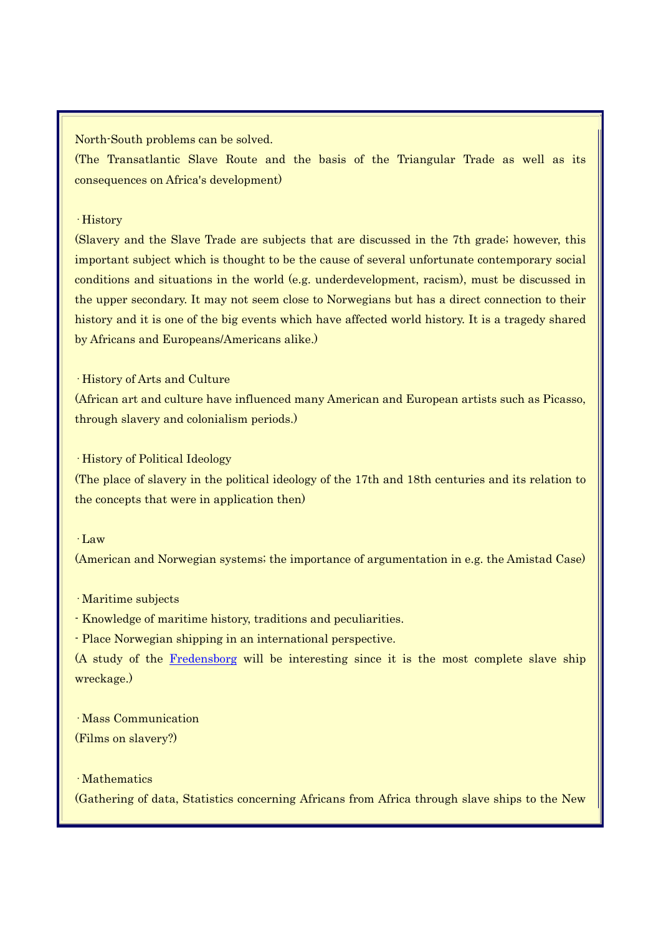North-South problems can be solved.

(The Transatlantic Slave Route and the basis of the Triangular Trade as well as its consequences on Africa's development)

## · History

(Slavery and the Slave Trade are subjects that are discussed in the 7th grade; however, this important subject which is thought to be the cause of several unfortunate contemporary social conditions and situations in the world (e.g. underdevelopment, racism), must be discussed in the upper secondary. It may not seem close to Norwegians but has a direct connection to their history and it is one of the big events which have affected world history. It is a tragedy shared by Africans and Europeans/Americans alike.)

· History of Arts and Culture

(African art and culture have influenced many American and European artists such as Picasso, through slavery and colonialism periods.)

#### · History of Political Ideology

(The place of slavery in the political ideology of the 17th and 18th centuries and its relation to the concepts that were in application then)

# · Law

(American and Norwegian systems; the importance of argumentation in e.g. the Amistad Case)

· Maritime subjects

- Knowledge of maritime history, traditions and peculiarities.

- Place Norwegian shipping in an international perspective.

(A study of the Fredensborg will be interesting since it is the most complete slave ship wreckage.)

· Mass Communication (Films on slavery?)

# · Mathematics

(Gathering of data, Statistics concerning Africans from Africa through slave ships to the New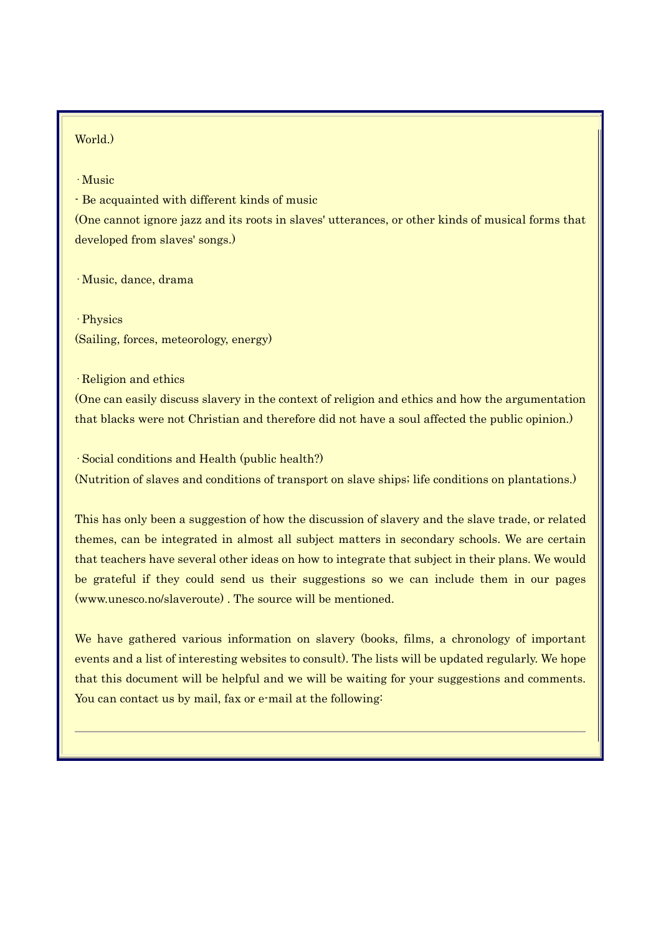# World.)

#### · Music

- Be acquainted with different kinds of music

(One cannot ignore jazz and its roots in slaves' utterances, or other kinds of musical forms that developed from slaves' songs.)

· Music, dance, drama

· Physics (Sailing, forces, meteorology, energy)

· Religion and ethics

(One can easily discuss slavery in the context of religion and ethics and how the argumentation that blacks were not Christian and therefore did not have a soul affected the public opinion.)

· Social conditions and Health (public health?) (Nutrition of slaves and conditions of transport on slave ships; life conditions on plantations.)

This has only been a suggestion of how the discussion of slavery and the slave trade, or related themes, can be integrated in almost all subject matters in secondary schools. We are certain that teachers have several other ideas on how to integrate that subject in their plans. We would be grateful if they could send us their suggestions so we can include them in our pages (www.unesco.no/slaveroute) . The source will be mentioned.

We have gathered various information on slavery (books, films, a chronology of important events and a list of interesting websites to consult). The lists will be updated regularly. We hope that this document will be helpful and we will be waiting for your suggestions and comments. You can contact us by mail, fax or e-mail at the following: